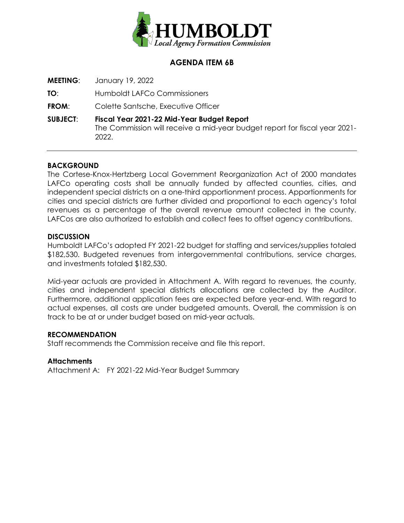

# **AGENDA ITEM 6B**

**MEETING**: January 19, 2022

**TO**: Humboldt LAFCo Commissioners

**FROM**: Colette Santsche, Executive Officer

**SUBJECT**: **Fiscal Year 2021-22 Mid-Year Budget Report**  The Commission will receive a mid-year budget report for fiscal year 2021- 2022.

### **BACKGROUND**

The Cortese-Knox-Hertzberg Local Government Reorganization Act of 2000 mandates LAFCo operating costs shall be annually funded by affected counties, cities, and independent special districts on a one-third apportionment process. Apportionments for cities and special districts are further divided and proportional to each agency's total revenues as a percentage of the overall revenue amount collected in the county. LAFCos are also authorized to establish and collect fees to offset agency contributions.

#### **DISCUSSION**

Humboldt LAFCo's adopted FY 2021-22 budget for staffing and services/supplies totaled \$182,530. Budgeted revenues from intergovernmental contributions, service charges, and investments totaled \$182,530.

Mid-year actuals are provided in Attachment A. With regard to revenues, the county, cities and independent special districts allocations are collected by the Auditor. Furthermore, additional application fees are expected before year-end. With regard to actual expenses, all costs are under budgeted amounts. Overall, the commission is on track to be at or under budget based on mid-year actuals.

#### **RECOMMENDATION**

Staff recommends the Commission receive and file this report.

## **Attachments**

Attachment A: FY 2021-22 Mid-Year Budget Summary